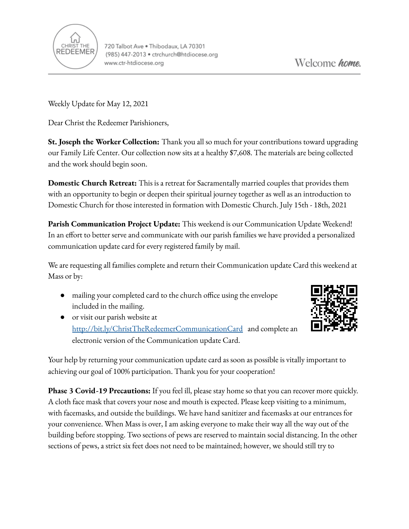

Weekly Update for May 12, 2021

Dear Christ the Redeemer Parishioners,

**St. Joseph the Worker Collection:** Thank you all so much for your contributions toward upgrading our Family Life Center. Our collection now sits at a healthy \$7,608. The materials are being collected and the work should begin soon.

**Domestic Church Retreat:** This is a retreat for Sacramentally married couples that provides them with an opportunity to begin or deepen their spiritual journey together as well as an introduction to Domestic Church for those interested in formation with Domestic Church. July 15th - 18th, 2021

**Parish Communication Project Update:** This weekend is our Communication Update Weekend! In an effort to better serve and communicate with our parish families we have provided a personalized communication update card for every registered family by mail.

We are requesting all families complete and return their Communication update Card this weekend at Mass or by:

- mailing your completed card to the church office using the envelope included in the mailing.
- or visit our parish website a[t](http://bit.ly/ChristTheRedeemerCommunicationCard) <http://bit.ly/ChristTheRedeemerCommunicationCard> and complete an electronic version of the Communication update Card.



Your help by returning your communication update card as soon as possible is vitally important to achieving our goal of 100% participation. Thank you for your cooperation!

**Phase 3 Covid-19 Precautions:** If you feel ill, please stay home so that you can recover more quickly. A cloth face mask that covers your nose and mouth is expected. Please keep visiting to a minimum, with facemasks, and outside the buildings. We have hand sanitizer and facemasks at our entrances for your convenience. When Mass is over, I am asking everyone to make their way all the way out of the building before stopping. Two sections of pews are reserved to maintain social distancing. In the other sections of pews, a strict six feet does not need to be maintained; however, we should still try to